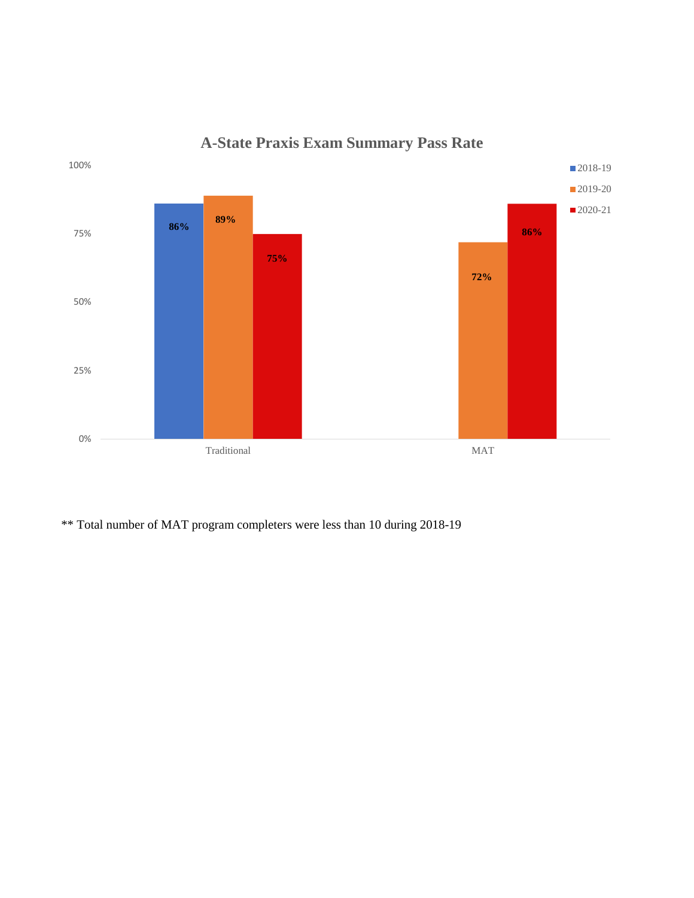

**A-State Praxis Exam Summary Pass Rate**

\*\* Total number of MAT program completers were less than 10 during 2018-19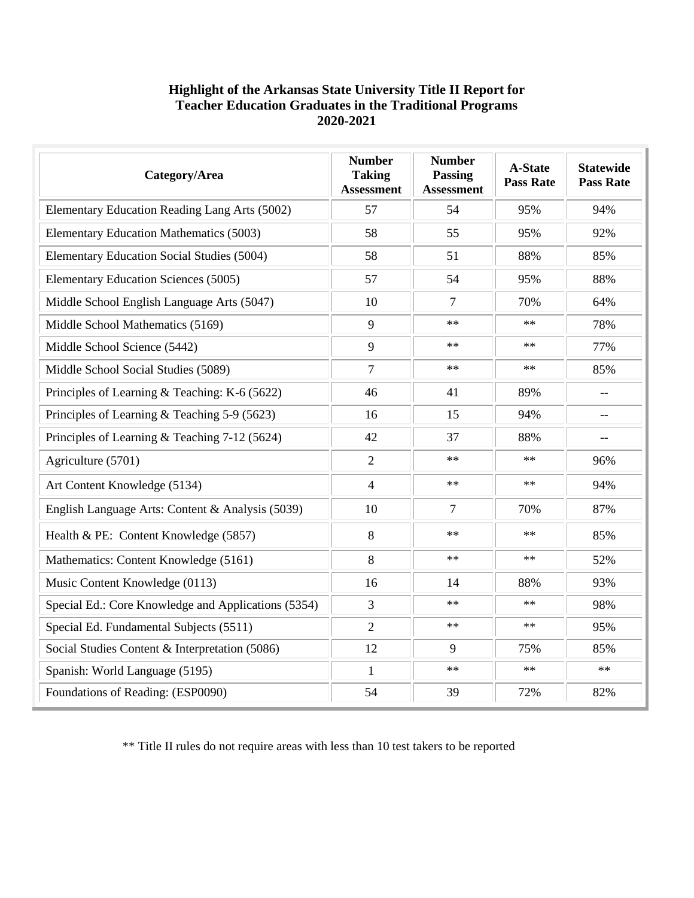## **Highlight of the Arkansas State University Title II Report for Teacher Education Graduates in the Traditional Programs 2020-2021**

| Category/Area                                       | <b>Number</b><br><b>Taking</b><br><b>Assessment</b> | <b>Number</b><br><b>Passing</b><br><b>Assessment</b> | <b>A-State</b><br><b>Pass Rate</b> | <b>Statewide</b><br><b>Pass Rate</b> |
|-----------------------------------------------------|-----------------------------------------------------|------------------------------------------------------|------------------------------------|--------------------------------------|
| Elementary Education Reading Lang Arts (5002)       | 57                                                  | 54                                                   | 95%                                | 94%                                  |
| Elementary Education Mathematics (5003)             | 58                                                  | 55                                                   | 95%                                | 92%                                  |
| Elementary Education Social Studies (5004)          | 58                                                  | 51                                                   | 88%                                | 85%                                  |
| <b>Elementary Education Sciences (5005)</b>         | 57                                                  | 54                                                   | 95%                                | 88%                                  |
| Middle School English Language Arts (5047)          | 10                                                  | 7                                                    | 70%                                | 64%                                  |
| Middle School Mathematics (5169)                    | 9                                                   | $\ast\ast$                                           | $**$                               | 78%                                  |
| Middle School Science (5442)                        | 9                                                   | $**$                                                 | $**$                               | 77%                                  |
| Middle School Social Studies (5089)                 | 7                                                   | $**$                                                 | $**$                               | 85%                                  |
| Principles of Learning & Teaching: K-6 (5622)       | 46                                                  | 41                                                   | 89%                                | $-$                                  |
| Principles of Learning & Teaching 5-9 (5623)        | 16                                                  | 15                                                   | 94%                                |                                      |
| Principles of Learning & Teaching 7-12 (5624)       | 42                                                  | 37                                                   | 88%                                |                                      |
| Agriculture (5701)                                  | $\overline{2}$                                      | $**$                                                 | $**$                               | 96%                                  |
| Art Content Knowledge (5134)                        | $\overline{4}$                                      | $\ast\ast$                                           | $**$                               | 94%                                  |
| English Language Arts: Content & Analysis (5039)    | 10                                                  | 7                                                    | 70%                                | 87%                                  |
| Health & PE: Content Knowledge (5857)               | 8                                                   | $**$                                                 | $**$                               | 85%                                  |
| Mathematics: Content Knowledge (5161)               | 8                                                   | $\ast\ast$                                           | $\ast\ast$                         | 52%                                  |
| Music Content Knowledge (0113)                      | 16                                                  | 14                                                   | 88%                                | 93%                                  |
| Special Ed.: Core Knowledge and Applications (5354) | 3                                                   | $**$                                                 | $**$                               | 98%                                  |
| Special Ed. Fundamental Subjects (5511)             | $\overline{2}$                                      | **                                                   | $**$                               | 95%                                  |
| Social Studies Content & Interpretation (5086)      | 12                                                  | 9                                                    | 75%                                | 85%                                  |
| Spanish: World Language (5195)                      | $\mathbf{1}$                                        | $**$                                                 | $\ast\ast$                         | $\ast\ast$                           |
| Foundations of Reading: (ESP0090)                   | 54                                                  | 39                                                   | 72%                                | 82%                                  |

\*\* Title II rules do not require areas with less than 10 test takers to be reported